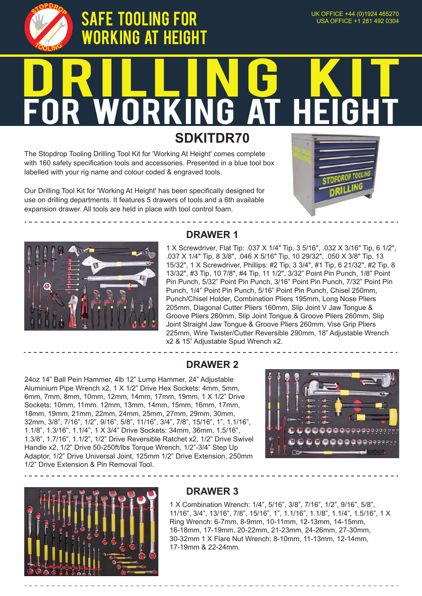

# SAFE TOOLINg for working at height

# DRILLING KIT FOR WORKING AT HEIGHT

**SDKITDR70**

The Stopdrop Tooling Drilling Tool Kit for 'Working At Height' comes complete with 160 safety specification tools and accessories. Presented in a blue tool box labelled with your rig name and colour coded & engraved tools.

Our Drilling Tool Kit for 'Working At Height' has been specifically designed for use on drilling departments. It features 5 drawers of tools and a 6th available expansion drawer. All tools are held in place with tool control foam.





# **DRAWER 1**

1 X Screwdriver, Flat Tip: .037 X 1/4" Tip, 3 5/16", .032 X 3/16" Tip, 6 1/2", .037 X 1/4" Tip, 8 3/8", .046 X 5/16" Tip, 10 29/32", .050 X 3/8" Tip, 13 15/32", 1 X Screwdriver, Phillips: #2 Tip, 3 3/4", #1 Tip, 6 21/32", #2 Tip, 8 13/32", #3 Tip, 10 7/8", #4 Tip, 11 1/2", 3/32" Point Pin Punch, 1/8" Point Pin Punch, 5/32" Point Pin Punch, 3/16" Point Pin Punch, 7/32" Point Pin Punch, 1/4" Point Pin Punch, 5/16" Point Pin Punch, Chisel 250mm, Punch/Chisel Holder, Combination Pliers 195mm, Long Nose Pliers 205mm, Diagonal Cutter Pliers 160mm, Slip Joint V Jaw Tongue & Groove Pliers 260mm, Slip Joint Tongue & Groove Pliers 260mm, Slip Joint Straight Jaw Tongue & Groove Pliers 260mm, Vise Grip Pliers 225mm, Wire Twister/Cutter Reversible 290mm, 18" Adjustable Wrench x2 & 15" Adjustable Spud Wrench x2.

#### **DRAWER 2**

24oz 14" Ball Pein Hammer, 4lb 12" Lump Hammer, 24" Adjustable Aluminium Pipe Wrench x2, 1 X 1/2" Drive Hex Sockets: 4mm, 5mm, 6mm, 7mm, 8mm, 10mm, 12mm, 14mm, 17mm, 19mm, 1 X 1/2" Drive Sockets: 10mm, 11mm. 12mm, 13mm, 14mm, 15mm, 16mm, 17mm, 18mm, 19mm, 21mm, 22mm, 24mm, 25mm, 27mm, 29mm, 30mm, 32mm, 3/8", 7/16", 1/2", 9/16", 5/8", 11/16", 3/4", 7/8", 15/16", 1", 1.1/16", 1.1/8", 1.3/16", 1.1/4", 1 X 3/4" Drive Sockets: 34mm, 36mm, 1.5/16", 1.3/8", 1.7/16", 1.1/2", 1/2" Drive Reversible Ratchet x2, 1/2" Drive Swivel Handle x2, 1/2" Drive 50-250ft/lbs Torque Wrench, 1/2"-3/4" Step Up Adaptor, 1/2" Drive Universal Joint, 125mm 1/2" Drive Extension, 250mm 1/2" Drive Extension & Pin Removal Tool.





#### **DRAWER 3**

1 X Combination Wrench: 1/4", 5/16", 3/8", 7/16", 1/2", 9/16", 5/8", 11/16", 3/4", 13/16", 7/8", 15/16", 1", 1.1/16", 1.1/8", 1.1/4", 1.5/16", 1 X Ring Wrench: 6-7mm, 8-9mm, 10-11mm, 12-13mm, 14-15mm, 16-18mm, 17-19mm, 20-22mm, 21-23mm, 24-26mm, 27-30mm, 30-32mm 1 X Flare Nut Wrench: 8-10mm, 11-13mm, 12-14mm, 17-19mm & 22-24mm.